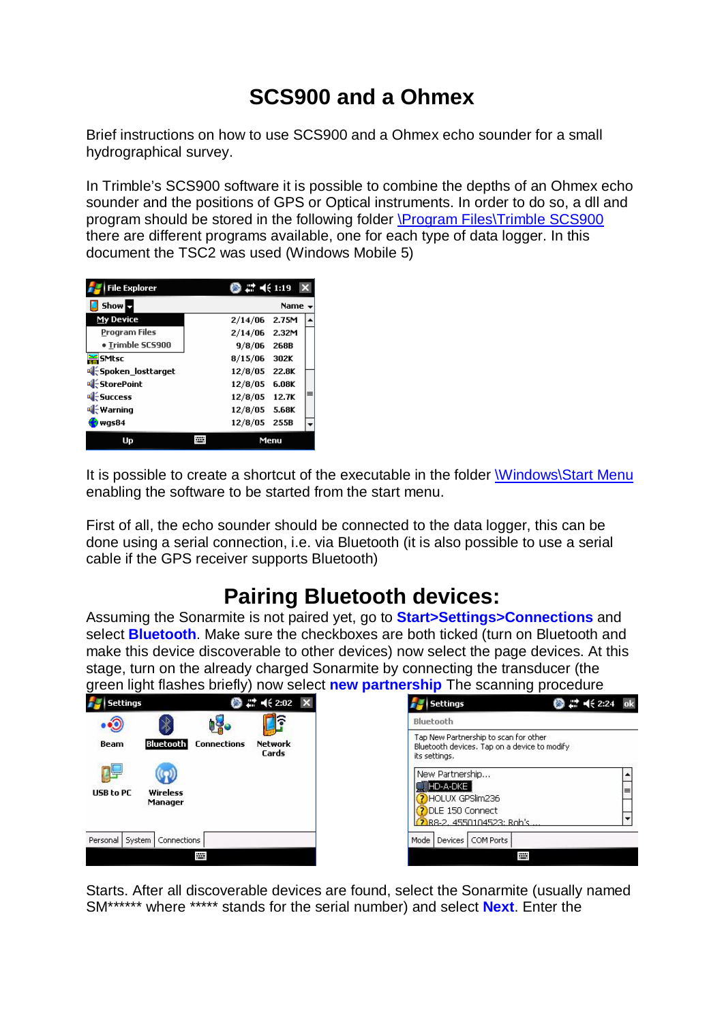# **SCS900 and a Ohmex**

Brief instructions on how to use SCS900 and a Ohmex echo sounder for a small hydrographical survey.

In Trimble's SCS900 software it is possible to combine the depths of an Ohmex echo sounder and the positions of GPS or Optical instruments. In order to do so, a dll and program should be stored in the following folder \Program Files\Trimble SCS900 there are different programs available, one for each type of data logger. In this document the TSC2 was used (Windows Mobile 5)

| <b>File Explorer</b>       |               |              |   |
|----------------------------|---------------|--------------|---|
| Show b                     |               | Name $\star$ |   |
| My Device                  | 2/14/06 2.75M |              |   |
| <b>Program Files</b>       | 2/14/06 2.32M |              |   |
| · Trimble SCS900           | $9/8/06$ 268B |              |   |
| <mark>※</mark> SMtsc       | 8/15/06 302K  |              |   |
| य{ Spoken_losttarget       | 12/8/05 22.8K |              |   |
| थी <del>.</del> StorePoint | 12/8/05       | 6.08K        |   |
| र्थी <del>∶</del> Success  | 12/8/05 12.7K |              | ≡ |
| ¶⊱Warning                  | 12/8/05 5.68K |              |   |
| was84                      | 12/8/05 255B  |              |   |
| Up                         | Menu          |              |   |

It is possible to create a shortcut of the executable in the folder Windows\Start Menu enabling the software to be started from the start menu.

First of all, the echo sounder should be connected to the data logger, this can be done using a serial connection, i.e. via Bluetooth (it is also possible to use a serial cable if the GPS receiver supports Bluetooth)

### **Pairing Bluetooth devices:**

Assuming the Sonarmite is not paired yet, go to **Start>Settings>Connections** and select **Bluetooth**. Make sure the checkboxes are both ticked (turn on Bluetooth and make this device discoverable to other devices) now select the page devices. At this stage, turn on the already charged Sonarmite by connecting the transducer (the green light flashes briefly) now select **new partnership** The scanning procedure

| H .<br><b>Settings</b>           | <b>8 2 4 2:02 X</b>                                                                 | <b>8 1 4 2:24 ok</b><br><b>Settings</b>                                                                                   |
|----------------------------------|-------------------------------------------------------------------------------------|---------------------------------------------------------------------------------------------------------------------------|
| ħ<br>$\cdot \mathfrak{D}$<br>■ る | Bluetooth                                                                           |                                                                                                                           |
| <b>Beam</b>                      | <b>Bluetooth</b><br><b>Network</b><br><b>Connections</b><br>Cards                   | Tap New Partnership to scan for other<br>Bluetooth devices. Tap on a device to modify<br>its settings.<br>New Partnership |
| USB to PC<br>Wireless<br>Manager | ▓HD-A-DKE  <br>⊫<br>HOLUX GPSlim236<br>DLE 150 Connect<br>2 R8-2, 4550104523; Rob's |                                                                                                                           |
| Personal System                  | <b>Connections</b>                                                                  | Mode<br>COM Ports<br>Devices                                                                                              |
|                                  | P.                                                                                  | m.                                                                                                                        |

Starts. After all discoverable devices are found, select the Sonarmite (usually named SM\*\*\*\*\*\* where \*\*\*\*\* stands for the serial number) and select **Next**. Enter the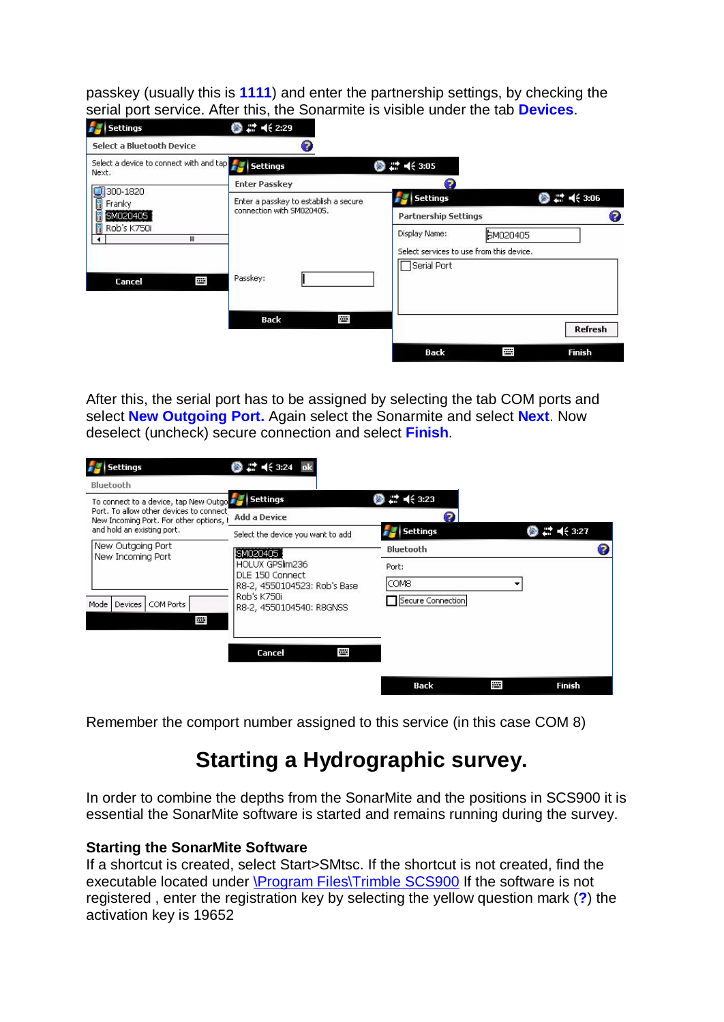passkey (usually this is **1111**) and enter the partnership settings, by checking the serial port service. After this, the Sonarmite is visible under the tab **Devices**.

| <b>Settings</b><br>n                                               | ◎ :* € 2:29                           |                                            |                                    |
|--------------------------------------------------------------------|---------------------------------------|--------------------------------------------|------------------------------------|
| <b>Select a Bluetooth Device</b>                                   | 7                                     |                                            |                                    |
| Select a device to connect with and tap FLA Settings<br>Next.      |                                       | $\circledcirc$ $\rightleftharpoons$ 4 3:05 |                                    |
|                                                                    | <b>Enter Passkey</b>                  | 7                                          |                                    |
| $900 - 1820$<br>Franky                                             | Enter a passkey to establish a secure | Settings                                   | ◎ 二 长 3:06                         |
| <b>B</b> SM020405<br>Ŧ<br>Rob's K750i<br>Ш<br>$\blacktriangleleft$ | connection with SM020405.             | <b>Partnership Settings</b>                | Ø                                  |
|                                                                    |                                       | Display Name:                              | <b>EM020405</b>                    |
|                                                                    |                                       | Select services to use from this device.   |                                    |
|                                                                    |                                       | Serial Port                                |                                    |
| Ï<br>Cancel                                                        | Passkey:                              |                                            |                                    |
|                                                                    |                                       |                                            |                                    |
|                                                                    | p.<br>Back                            |                                            | Refresh                            |
|                                                                    |                                       |                                            |                                    |
|                                                                    |                                       | Back                                       | <b>The Second</b><br><b>Finish</b> |

After this, the serial port has to be assigned by selecting the tab COM ports and select **New Outgoing Port.** Again select the Sonarmite and select **Next**. Now deselect (uncheck) secure connection and select **Finish**.

| <b>Settings</b>                                                                    | # 4€ 3:24<br>Ø.                                 |                   |   |               |
|------------------------------------------------------------------------------------|-------------------------------------------------|-------------------|---|---------------|
| Bluetooth                                                                          |                                                 |                   |   |               |
| To connect to a device, tap New Outgo                                              | <b>Settings</b>                                 | # € 3:23          |   |               |
| Port, To allow other devices to connect<br>New Incoming Port. For other options, t | <b>Add a Device</b>                             |                   |   |               |
| and hold an existing port.                                                         | Select the device you want to add               | <b>Settings</b>   |   | ◎ 二 长 3:27    |
| New Outgoing Port<br>New Incoming Port                                             | SM020405                                        | <b>Bluetooth</b>  |   | B             |
|                                                                                    | HOLUX GPSIm236                                  | Port:             |   |               |
|                                                                                    | DLE 150 Connect<br>R8-2, 4550104523: Rob's Base | COM <sub>8</sub>  | ▼ |               |
| Mode<br>Devices<br>COM Ports<br>PH.                                                | Rob's K750i.<br>R8-2, 4550104540: R8GNSS        | Secure Connection |   |               |
|                                                                                    | part of<br><b>Cancel</b>                        |                   |   |               |
|                                                                                    |                                                 | Back              | 四 | <b>Finish</b> |

Remember the comport number assigned to this service (in this case COM 8)

## **Starting a Hydrographic survey.**

In order to combine the depths from the SonarMite and the positions in SCS900 it is essential the SonarMite software is started and remains running during the survey.

#### **Starting the SonarMite Software**

If a shortcut is created, select Start>SMtsc. If the shortcut is not created, find the executable located under \Program Files\Trimble SCS900 If the software is not registered , enter the registration key by selecting the yellow question mark (**?**) the activation key is 19652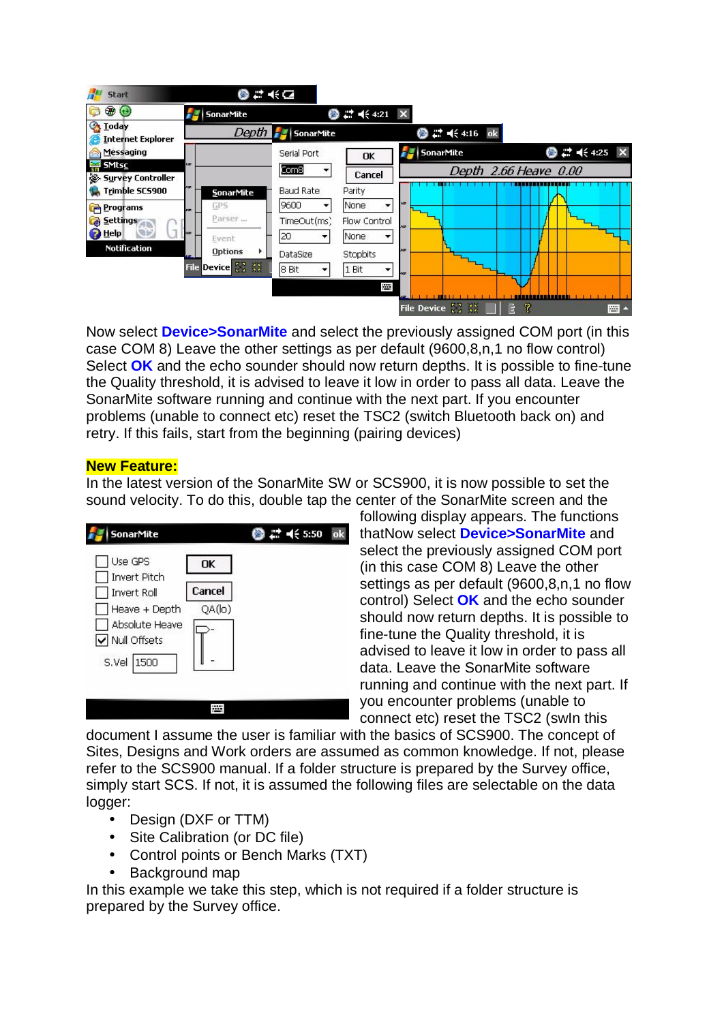

Now select **Device>SonarMite** and select the previously assigned COM port (in this case COM 8) Leave the other settings as per default (9600,8,n,1 no flow control) Select **OK** and the echo sounder should now return depths. It is possible to fine-tune the Quality threshold, it is advised to leave it low in order to pass all data. Leave the SonarMite software running and continue with the next part. If you encounter problems (unable to connect etc) reset the TSC2 (switch Bluetooth back on) and retry. If this fails, start from the beginning (pairing devices)

#### **New Feature:**

In the latest version of the SonarMite SW or SCS900, it is now possible to set the sound velocity. To do this, double tap the center of the SonarMite screen and the

| SonarMite                        |        | 22. =(€ 5:50 | ok |
|----------------------------------|--------|--------------|----|
| Use GPS<br>Invert Pitch          | OK     |              |    |
| Invert Roll                      | Cancel |              |    |
| Heave + Depth                    | QA(lo) |              |    |
| Absolute Heave<br>V Null Offsets |        |              |    |
| S.Vel<br>1500                    |        |              |    |
|                                  |        |              |    |
|                                  |        |              |    |

following display appears. The functions thatNow select **Device>SonarMite** and select the previously assigned COM port (in this case COM 8) Leave the other settings as per default (9600,8,n,1 no flow control) Select **OK** and the echo sounder should now return depths. It is possible to fine-tune the Quality threshold, it is advised to leave it low in order to pass all data. Leave the SonarMite software running and continue with the next part. If you encounter problems (unable to connect etc) reset the TSC2 (swIn this

document I assume the user is familiar with the basics of SCS900. The concept of Sites, Designs and Work orders are assumed as common knowledge. If not, please refer to the SCS900 manual. If a folder structure is prepared by the Survey office, simply start SCS. If not, it is assumed the following files are selectable on the data logger:

- Design (DXF or TTM)
- Site Calibration (or DC file)
- Control points or Bench Marks (TXT)
- Background map

In this example we take this step, which is not required if a folder structure is prepared by the Survey office.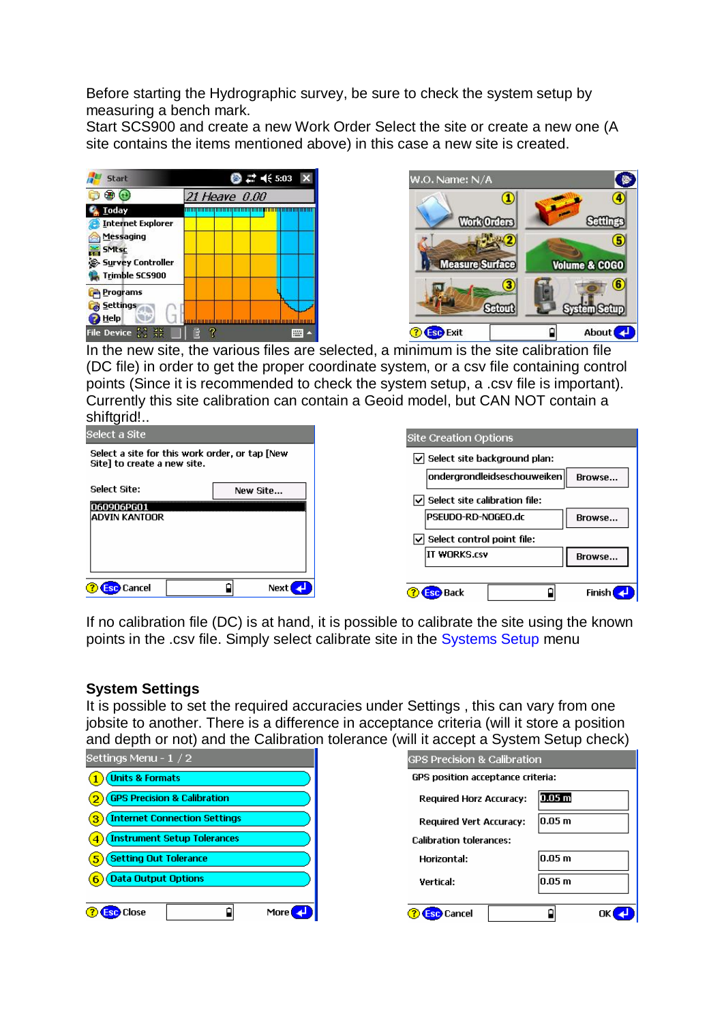Before starting the Hydrographic survey, be sure to check the system setup by measuring a bench mark.

Start SCS900 and create a new Work Order Select the site or create a new one (A site contains the items mentioned above) in this case a new site is created.





In the new site, the various files are selected, a minimum is the site calibration file (DC file) in order to get the proper coordinate system, or a csv file containing control points (Since it is recommended to check the system setup, a .csv file is important). Currently this site calibration can contain a Geoid model, but CAN NOT contain a shiftgrid!..



If no calibration file (DC) is at hand, it is possible to calibrate the site using the known points in the .csv file. Simply select calibrate site in the Systems Setup menu

#### **System Settings**

It is possible to set the required accuracies under Settings , this can vary from one jobsite to another. There is a difference in acceptance criteria (will it store a position and depth or not) and the Calibration tolerance (will it accept a System Setup check)



| $\frac{1}{2}$                          |                    |  |  |
|----------------------------------------|--------------------|--|--|
| <b>GPS Precision &amp; Calibration</b> |                    |  |  |
| GPS position acceptance criteria:      |                    |  |  |
| <b>Required Horz Accuracy:</b>         | $0.05\,\mathrm{m}$ |  |  |
| <b>Required Vert Accuracy:</b>         | 0.05 <sub>m</sub>  |  |  |
| <b>Calibration tolerances:</b>         |                    |  |  |
| Horizontal:                            | $0.05 \text{ m}$   |  |  |
| <b>Vertical:</b>                       | $0.05 \text{ m}$   |  |  |
| Cancel                                 |                    |  |  |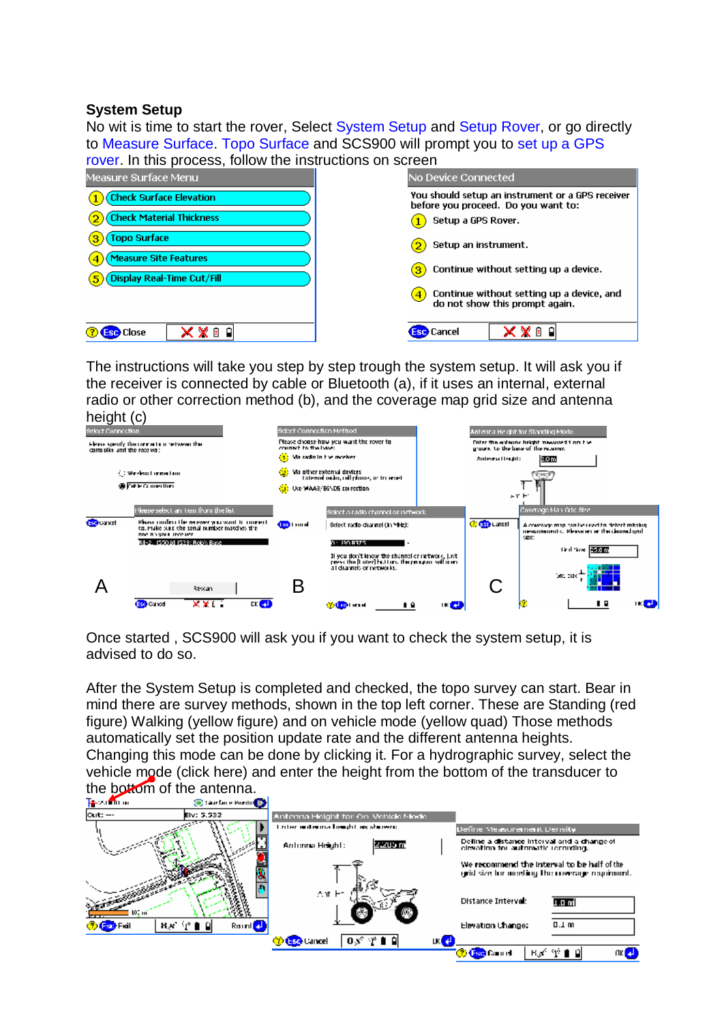### **System Setup**

No wit is time to start the rover, Select System Setup and Setup Rover, or go directly to Measure Surface. Topo Surface and SCS900 will prompt you to set up a GPS rover. In this process, follow the instructions on screen

| Measure Surface Menu                                       | No Device Connected                                                                     |
|------------------------------------------------------------|-----------------------------------------------------------------------------------------|
| <b>Check Surface Elevation</b>                             | You should setup an instrument or a GPS receiver<br>before you proceed. Do you want to: |
| <b>Check Material Thickness</b>                            | Setup a GPS Rover.                                                                      |
| <b>Topo Surface</b>                                        | Setup an instrument.<br>2.                                                              |
| <b>Measure Site Features</b><br>Display Real-Time Cut/Fill | Continue without setting up a device.<br>3.                                             |
|                                                            | Continue without setting up a device, and<br>do not show this prompt again.             |
| X X ⊠ 8<br><b>Close</b>                                    | x x ® d<br><b>Esc</b> Cancel                                                            |

The instructions will take you step by step trough the system setup. It will ask you if the receiver is connected by cable or Bluetooth (a), if it uses an internal, external radio or other correction method (b), and the coverage map grid size and antenna height (c)



Once started , SCS900 will ask you if you want to check the system setup, it is advised to do so.

After the System Setup is completed and checked, the topo survey can start. Bear in mind there are survey methods, shown in the top left corner. These are Standing (red figure) Walking (yellow figure) and on vehicle mode (yellow quad) Those methods automatically set the position update rate and the different antenna heights. Changing this mode can be done by clicking it. For a hydrographic survey, select the vehicle mode (click here) and enter the height from the bottom of the transducer to

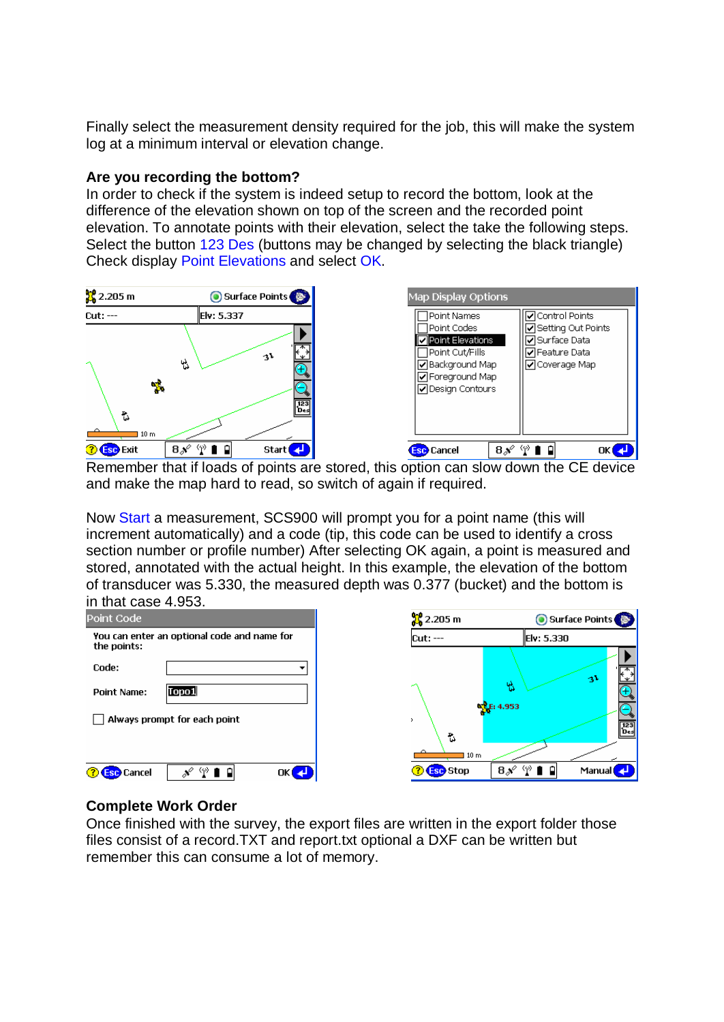Finally select the measurement density required for the job, this will make the system log at a minimum interval or elevation change.

#### **Are you recording the bottom?**

In order to check if the system is indeed setup to record the bottom, look at the difference of the elevation shown on top of the screen and the recorded point elevation. To annotate points with their elevation, select the take the following steps. Select the button 123 Des (buttons may be changed by selecting the black triangle) Check display Point Elevations and select OK.



Remember that if loads of points are stored, this option can slow down the CE device and make the map hard to read, so switch of again if required.

Now Start a measurement, SCS900 will prompt you for a point name (this will increment automatically) and a code (tip, this code can be used to identify a cross section number or profile number) After selecting OK again, a point is measured and stored, annotated with the actual height. In this example, the elevation of the bottom of transducer was 5.330, the measured depth was 0.377 (bucket) and the bottom is in that case 4.953.



#### **Complete Work Order**

Once finished with the survey, the export files are written in the export folder those files consist of a record.TXT and report.txt optional a DXF can be written but remember this can consume a lot of memory.